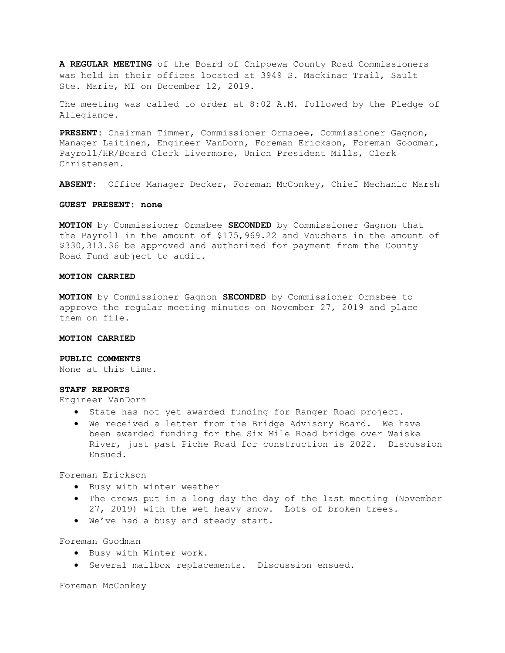A REGULAR MEETING of the Board of Chippewa County Road Commissioners was held in their offices located at 3949 S. Mackinac Trail, Sault Ste. Marie, MI on December 12, 2019.

The meeting was called to order at 8:02 A.M. followed by the Pledge of Allegiance.

PRESENT: Chairman Timmer, Commissioner Ormsbee, Commissioner Gagnon, Manager Laitinen, Engineer VanDorn, Foreman Erickson, Foreman Goodman, Payroll/HR/Board Clerk Livermore, Union President Mills, Clerk Christensen.

ABSENT: Office Manager Decker, Foreman McConkey, Chief Mechanic Marsh

### GUEST PRESENT: none

**MOTION** by Commissioner Ormsbee SECONDED by Commissioner Gagnon that the Payroll in the amount of \$175,969.22 and Vouchers in the amount of \$330,313.36 be approved and authorized for payment from the County Road Fund subject to audit.

# MOTION CARRIED

MOTION by Commissioner Gagnon SECONDED by Commissioner Ormsbee to approve the regular meeting minutes on November 27, 2019 and place them on file.

#### MOTION CARRIED

# PUBLIC COMMENTS

None at this time.

### STAFF REPORTS

Engineer VanDorn

- State has not yet awarded funding for Ranger Road project.
- We received a letter from the Bridge Advisory Board. We have been awarded funding for the Six Mile Road bridge over Waiske River, just past Piche Road for construction is 2022. Discussion Ensued.

Foreman Erickson

- **•** Busy with winter weather
- The crews put in a long day the day of the last meeting (November 27, 2019) with the wet heavy snow. Lots of broken trees.
- We've had a busy and steady start.

Foreman Goodman

- **•** Busy with Winter work.
- **•** Several mailbox replacements. Discussion ensued.

Foreman McConkey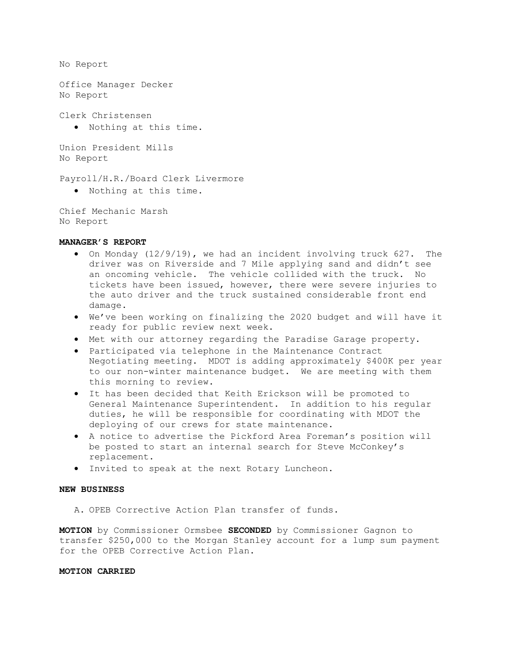No Report

Office Manager Decker No Report

Clerk Christensen

Nothing at this time.

Union President Mills No Report

Payroll/H.R./Board Clerk Livermore

Nothing at this time.

Chief Mechanic Marsh No Report

## MANAGER'S REPORT

- On Monday (12/9/19), we had an incident involving truck 627. The driver was on Riverside and 7 Mile applying sand and didn't see an oncoming vehicle. The vehicle collided with the truck. No tickets have been issued, however, there were severe injuries to the auto driver and the truck sustained considerable front end damage.
- We've been working on finalizing the 2020 budget and will have it ready for public review next week.
- Met with our attorney regarding the Paradise Garage property.
- Participated via telephone in the Maintenance Contract Negotiating meeting. MDOT is adding approximately \$400K per year to our non-winter maintenance budget. We are meeting with them this morning to review.
- It has been decided that Keith Erickson will be promoted to General Maintenance Superintendent. In addition to his regular duties, he will be responsible for coordinating with MDOT the deploying of our crews for state maintenance.
- A notice to advertise the Pickford Area Foreman's position will be posted to start an internal search for Steve McConkey's replacement.
- Invited to speak at the next Rotary Luncheon.

# NEW BUSINESS

A. OPEB Corrective Action Plan transfer of funds.

MOTION by Commissioner Ormsbee SECONDED by Commissioner Gagnon to transfer \$250,000 to the Morgan Stanley account for a lump sum payment for the OPEB Corrective Action Plan.

# MOTION CARRIED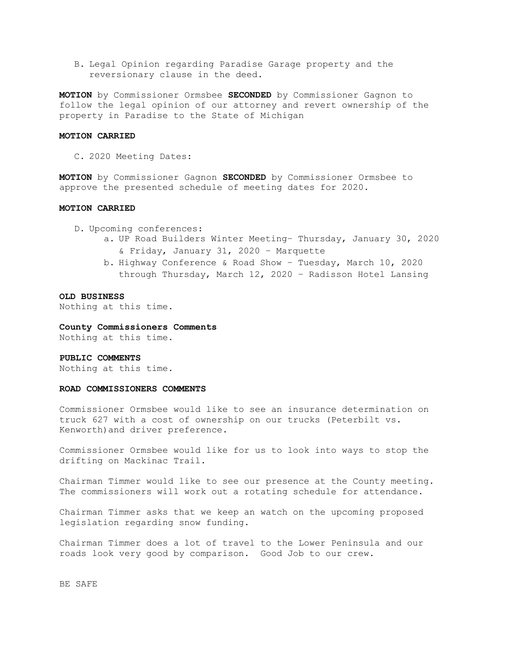B. Legal Opinion regarding Paradise Garage property and the reversionary clause in the deed.

MOTION by Commissioner Ormsbee SECONDED by Commissioner Gagnon to follow the legal opinion of our attorney and revert ownership of the property in Paradise to the State of Michigan

## MOTION CARRIED

C. 2020 Meeting Dates:

MOTION by Commissioner Gagnon SECONDED by Commissioner Ormsbee to approve the presented schedule of meeting dates for 2020.

### MOTION CARRIED

D. Upcoming conferences:

- a. UP Road Builders Winter Meeting– Thursday, January 30, 2020 & Friday, January 31, 2020 – Marquette
- b. Highway Conference & Road Show Tuesday, March 10, 2020 through Thursday, March 12, 2020 – Radisson Hotel Lansing

#### OLD BUSINESS

Nothing at this time.

# County Commissioners Comments

Nothing at this time.

### PUBLIC COMMENTS

Nothing at this time.

### ROAD COMMISSIONERS COMMENTS

Commissioner Ormsbee would like to see an insurance determination on truck 627 with a cost of ownership on our trucks (Peterbilt vs. Kenworth)and driver preference.

Commissioner Ormsbee would like for us to look into ways to stop the drifting on Mackinac Trail.

Chairman Timmer would like to see our presence at the County meeting. The commissioners will work out a rotating schedule for attendance.

Chairman Timmer asks that we keep an watch on the upcoming proposed legislation regarding snow funding.

Chairman Timmer does a lot of travel to the Lower Peninsula and our roads look very good by comparison. Good Job to our crew.

BE SAFE